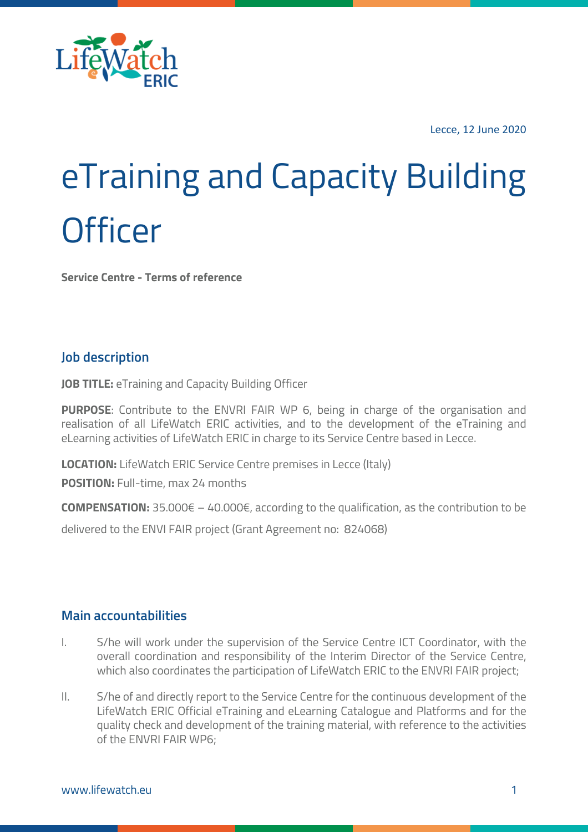

Lecce, 12 June 2020

# eTraining and Capacity Building **Officer**

**Service Centre - Terms of reference**

### **Job description**

**JOB TITLE:** eTraining and Capacity Building Officer

**PURPOSE**: Contribute to the ENVRI FAIR WP 6, being in charge of the organisation and realisation of all LifeWatch ERIC activities, and to the development of the eTraining and eLearning activities of LifeWatch ERIC in charge to its Service Centre based in Lecce.

**LOCATION:** LifeWatch ERIC Service Centre premises in Lecce (Italy)

**POSITION:** Full-time, max 24 months

**COMPENSATION:** 35.000€ – 40.000€, according to the qualification, as the contribution to be

delivered to the ENVI FAIR project (Grant Agreement no: 824068)

### **Main accountabilities**

- I. S/he will work under the supervision of the Service Centre ICT Coordinator, with the overall coordination and responsibility of the Interim Director of the Service Centre, which also coordinates the participation of LifeWatch ERIC to the ENVRI FAIR project;
- II. S/he of and directly report to the Service Centre for the continuous development of the LifeWatch ERIC Official eTraining and eLearning Catalogue and Platforms and for the quality check and development of the training material, with reference to the activities of the ENVRI FAIR WP6;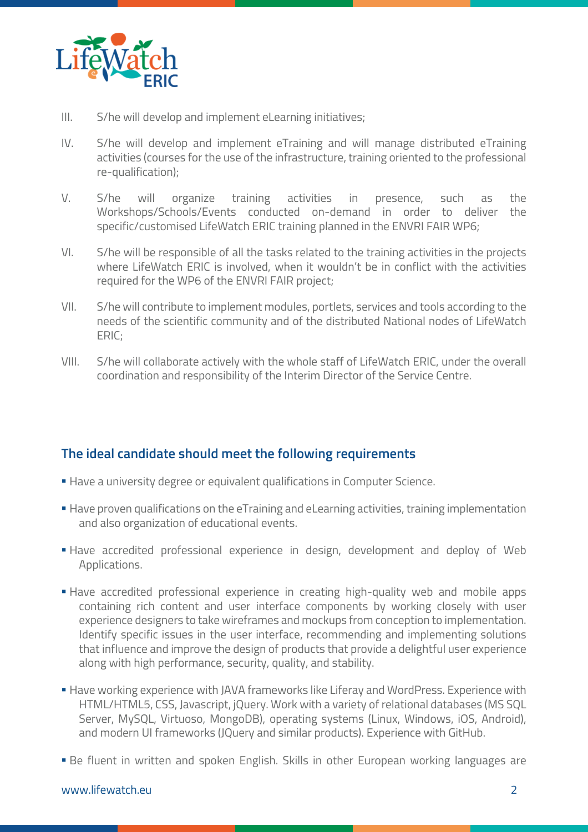

- III. S/he will develop and implement eLearning initiatives;
- IV. S/he will develop and implement eTraining and will manage distributed eTraining activities (courses for the use of the infrastructure, training oriented to the professional re-qualification);
- V. S/he will organize training activities in presence, such as the Workshops/Schools/Events conducted on-demand in order to deliver the specific/customised LifeWatch ERIC training planned in the ENVRI FAIR WP6;
- VI. S/he will be responsible of all the tasks related to the training activities in the projects where LifeWatch ERIC is involved, when it wouldn't be in conflict with the activities required for the WP6 of the ENVRI FAIR project;
- VII. S/he will contribute to implement modules, portlets, services and tools according to the needs of the scientific community and of the distributed National nodes of LifeWatch ERIC;
- VIII. S/he will collaborate actively with the whole staff of LifeWatch ERIC, under the overall coordination and responsibility of the Interim Director of the Service Centre.

# **The ideal candidate should meet the following requirements**

- Have a university degree or equivalent qualifications in Computer Science.
- Have proven qualifications on the eTraining and eLearning activities, training implementation and also organization of educational events.
- § Have accredited professional experience in design, development and deploy of Web Applications.
- § Have accredited professional experience in creating high-quality web and mobile apps containing rich content and user interface components by working closely with user experience designers to take wireframes and mockups from conception to implementation. Identify specific issues in the user interface, recommending and implementing solutions that influence and improve the design of products that provide a delightful user experience along with high performance, security, quality, and stability.
- **Have working experience with JAVA frameworks like Liferay and WordPress. Experience with** HTML/HTML5, CSS, Javascript, jQuery. Work with a variety of relational databases (MS SQL Server, MySQL, Virtuoso, MongoDB), operating systems (Linux, Windows, iOS, Android), and modern UI frameworks (JQuery and similar products). Experience with GitHub.
- Be fluent in written and spoken English. Skills in other European working languages are

#### www.lifewatch.eu 2008 - 2008 - 2008 - 2008 - 2018 - 2018 - 2018 - 2018 - 2018 - 2018 - 2018 - 2018 - 2018 - 20